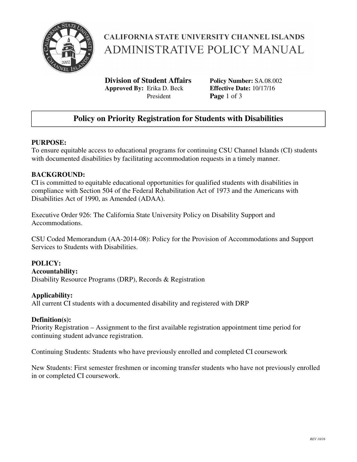

# **CALIFORNIA STATE UNIVERSITY CHANNEL ISLANDS ADMINISTRATIVE POLICY MANUAL**

**Division of Student Affairs Policy Number:** SA.08.002 **Approved By:** Erika D. Beck **Effective Date:** 10/17/16 President **Page** 1 of 3

## **Policy on Priority Registration for Students with Disabilities**

### **PURPOSE:**

To ensure equitable access to educational programs for continuing CSU Channel Islands (CI) students with documented disabilities by facilitating accommodation requests in a timely manner.

#### **BACKGROUND:**

CI is committed to equitable educational opportunities for qualified students with disabilities in compliance with Section 504 of the Federal Rehabilitation Act of 1973 and the Americans with Disabilities Act of 1990, as Amended (ADAA).

Executive Order 926: The California State University Policy on Disability Support and Accommodations.

CSU Coded Memorandum (AA-2014-08): Policy for the Provision of Accommodations and Support Services to Students with Disabilities.

### **POLICY:**

#### **Accountability:**

Disability Resource Programs (DRP), Records & Registration

#### **Applicability:**

All current CI students with a documented disability and registered with DRP

#### **Definition(s):**

Priority Registration – Assignment to the first available registration appointment time period for continuing student advance registration.

Continuing Students: Students who have previously enrolled and completed CI coursework

New Students: First semester freshmen or incoming transfer students who have not previously enrolled in or completed CI coursework.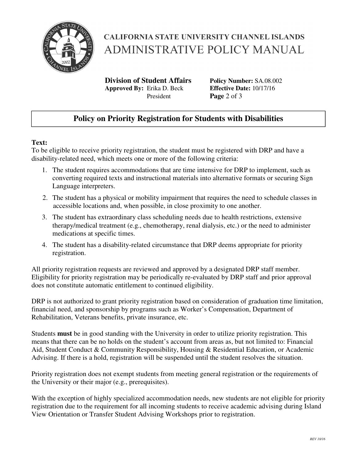

# **CALIFORNIA STATE UNIVERSITY CHANNEL ISLANDS ADMINISTRATIVE POLICY MANUAL**

**Division of Student Affairs Policy Number:** SA.08.002 **Approved By:** Erika D. Beck **Effective Date:** 10/17/16 President **Page** 2 of 3

## **Policy on Priority Registration for Students with Disabilities**

### **Text:**

To be eligible to receive priority registration, the student must be registered with DRP and have a disability-related need, which meets one or more of the following criteria:

- 1. The student requires accommodations that are time intensive for DRP to implement, such as converting required texts and instructional materials into alternative formats or securing Sign Language interpreters.
- 2. The student has a physical or mobility impairment that requires the need to schedule classes in accessible locations and, when possible, in close proximity to one another.
- 3. The student has extraordinary class scheduling needs due to health restrictions, extensive therapy/medical treatment (e.g., chemotherapy, renal dialysis, etc.) or the need to administer medications at specific times.
- 4. The student has a disability-related circumstance that DRP deems appropriate for priority registration.

All priority registration requests are reviewed and approved by a designated DRP staff member. Eligibility for priority registration may be periodically re-evaluated by DRP staff and prior approval does not constitute automatic entitlement to continued eligibility.

DRP is not authorized to grant priority registration based on consideration of graduation time limitation, financial need, and sponsorship by programs such as Worker's Compensation, Department of Rehabilitation, Veterans benefits, private insurance, etc.

Students **must** be in good standing with the University in order to utilize priority registration. This means that there can be no holds on the student's account from areas as, but not limited to: Financial Aid, Student Conduct & Community Responsibility, Housing & Residential Education, or Academic Advising. If there is a hold, registration will be suspended until the student resolves the situation.

Priority registration does not exempt students from meeting general registration or the requirements of the University or their major (e.g., prerequisites).

With the exception of highly specialized accommodation needs, new students are not eligible for priority registration due to the requirement for all incoming students to receive academic advising during Island View Orientation or Transfer Student Advising Workshops prior to registration.